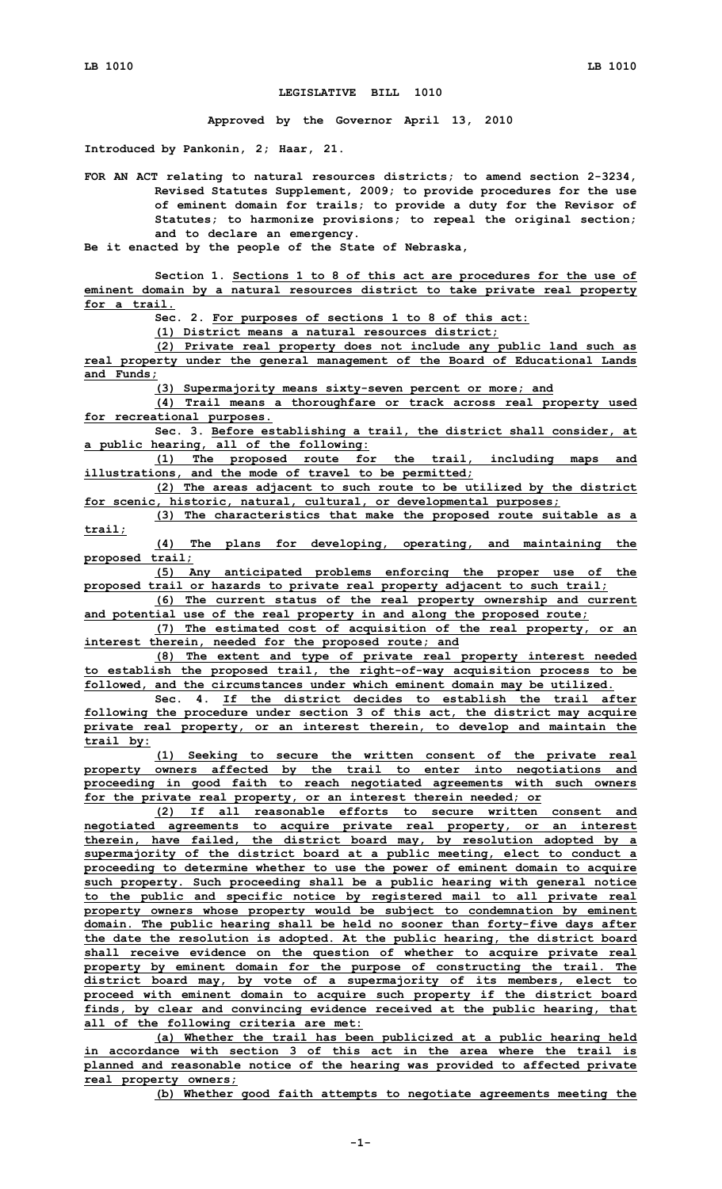## **LEGISLATIVE BILL 1010**

**Approved by the Governor April 13, 2010**

**Introduced by Pankonin, 2; Haar, 21.**

**FOR AN ACT relating to natural resources districts; to amend section 2-3234, Revised Statutes Supplement, 2009; to provide procedures for the use of eminent domain for trails; to provide <sup>a</sup> duty for the Revisor of Statutes; to harmonize provisions; to repeal the original section; and to declare an emergency.**

**Be it enacted by the people of the State of Nebraska,**

**Section 1. Sections 1 to 8 of this act are procedures for the use of eminent domain by <sup>a</sup> natural resources district to take private real property for a trail.**

**Sec. 2. For purposes of sections 1 to 8 of this act:**

**(1) District means <sup>a</sup> natural resources district;**

**(2) Private real property does not include any public land such as real property under the general management of the Board of Educational Lands and Funds;**

**(3) Supermajority means sixty-seven percent or more; and**

**(4) Trail means <sup>a</sup> thoroughfare or track across real property used for recreational purposes.**

**Sec. 3. Before establishing <sup>a</sup> trail, the district shall consider, at <sup>a</sup> public hearing, all of the following:**

**(1) The proposed route for the trail, including maps and illustrations, and the mode of travel to be permitted;**

**(2) The areas adjacent to such route to be utilized by the district for scenic, historic, natural, cultural, or developmental purposes;**

**(3) The characteristics that make the proposed route suitable as <sup>a</sup> trail;**

**(4) The plans for developing, operating, and maintaining the proposed trail;**

**(5) Any anticipated problems enforcing the proper use of the proposed trail or hazards to private real property adjacent to such trail;**

**(6) The current status of the real property ownership and current and potential use of the real property in and along the proposed route;**

**(7) The estimated cost of acquisition of the real property, or an interest therein, needed for the proposed route; and**

**(8) The extent and type of private real property interest needed to establish the proposed trail, the right-of-way acquisition process to be followed, and the circumstances under which eminent domain may be utilized.**

**Sec. 4. If the district decides to establish the trail after following the procedure under section 3 of this act, the district may acquire private real property, or an interest therein, to develop and maintain the trail by:**

**(1) Seeking to secure the written consent of the private real property owners affected by the trail to enter into negotiations and proceeding in good faith to reach negotiated agreements with such owners for the private real property, or an interest therein needed; or**

**(2) If all reasonable efforts to secure written consent and negotiated agreements to acquire private real property, or an interest therein, have failed, the district board may, by resolution adopted by <sup>a</sup> supermajority of the district board at <sup>a</sup> public meeting, elect to conduct <sup>a</sup> proceeding to determine whether to use the power of eminent domain to acquire such property. Such proceeding shall be <sup>a</sup> public hearing with general notice to the public and specific notice by registered mail to all private real property owners whose property would be subject to condemnation by eminent domain. The public hearing shall be held no sooner than forty-five days after the date the resolution is adopted. At the public hearing, the district board shall receive evidence on the question of whether to acquire private real property by eminent domain for the purpose of constructing the trail. The district board may, by vote of <sup>a</sup> supermajority of its members, elect to proceed with eminent domain to acquire such property if the district board finds, by clear and convincing evidence received at the public hearing, that all of the following criteria are met:**

**(a) Whether the trail has been publicized at <sup>a</sup> public hearing held in accordance with section 3 of this act in the area where the trail is planned and reasonable notice of the hearing was provided to affected private real property owners;**

**(b) Whether good faith attempts to negotiate agreements meeting the**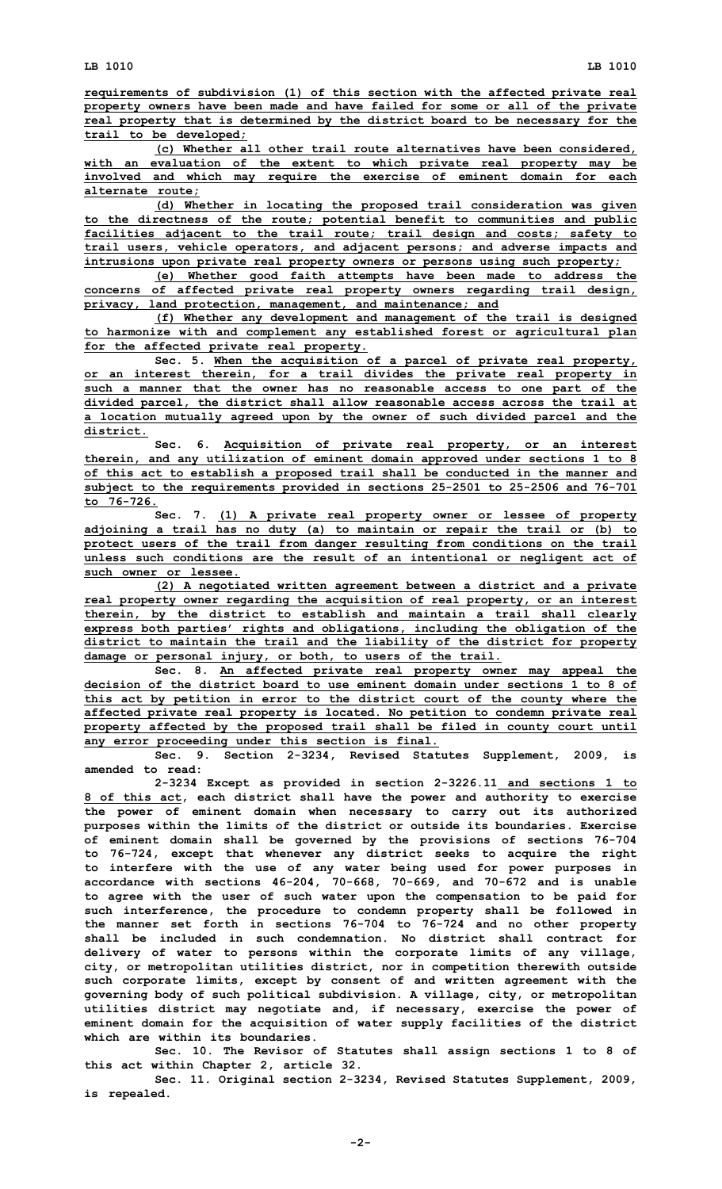**(c) Whether all other trail route alternatives have been considered, with an evaluation of the extent to which private real property may be involved and which may require the exercise of eminent domain for each alternate route;**

**(d) Whether in locating the proposed trail consideration was given to the directness of the route; potential benefit to communities and public facilities adjacent to the trail route; trail design and costs; safety to trail users, vehicle operators, and adjacent persons; and adverse impacts and intrusions upon private real property owners or persons using such property;**

**(e) Whether good faith attempts have been made to address the concerns of affected private real property owners regarding trail design, privacy, land protection, management, and maintenance; and**

**(f) Whether any development and management of the trail is designed to harmonize with and complement any established forest or agricultural plan for the affected private real property.**

**Sec. 5. When the acquisition of <sup>a</sup> parcel of private real property, or an interest therein, for <sup>a</sup> trail divides the private real property in such <sup>a</sup> manner that the owner has no reasonable access to one part of the divided parcel, the district shall allow reasonable access across the trail at <sup>a</sup> location mutually agreed upon by the owner of such divided parcel and the district.**

**Sec. 6. Acquisition of private real property, or an interest therein, and any utilization of eminent domain approved under sections 1 to 8 of this act to establish <sup>a</sup> proposed trail shall be conducted in the manner and subject to the requirements provided in sections 25-2501 to 25-2506 and 76-701 to 76-726.**

**Sec. 7. (1) <sup>A</sup> private real property owner or lessee of property adjoining <sup>a</sup> trail has no duty (a) to maintain or repair the trail or (b) to protect users of the trail from danger resulting from conditions on the trail unless such conditions are the result of an intentional or negligent act of such owner or lessee.**

**(2) <sup>A</sup> negotiated written agreement between <sup>a</sup> district and <sup>a</sup> private real property owner regarding the acquisition of real property, or an interest therein, by the district to establish and maintain <sup>a</sup> trail shall clearly express both parties' rights and obligations, including the obligation of the district to maintain the trail and the liability of the district for property damage or personal injury, or both, to users of the trail.**

**Sec. 8. An affected private real property owner may appeal the decision of the district board to use eminent domain under sections 1 to 8 of this act by petition in error to the district court of the county where the affected private real property is located. No petition to condemn private real property affected by the proposed trail shall be filed in county court until any error proceeding under this section is final.**

**Sec. 9. Section 2-3234, Revised Statutes Supplement, 2009, is amended to read:**

**2-3234 Except as provided in section 2-3226.11 and sections 1 to 8 of this act, each district shall have the power and authority to exercise the power of eminent domain when necessary to carry out its authorized purposes within the limits of the district or outside its boundaries. Exercise of eminent domain shall be governed by the provisions of sections 76-704 to 76-724, except that whenever any district seeks to acquire the right to interfere with the use of any water being used for power purposes in accordance with sections 46-204, 70-668, 70-669, and 70-672 and is unable to agree with the user of such water upon the compensation to be paid for such interference, the procedure to condemn property shall be followed in the manner set forth in sections 76-704 to 76-724 and no other property shall be included in such condemnation. No district shall contract for delivery of water to persons within the corporate limits of any village, city, or metropolitan utilities district, nor in competition therewith outside such corporate limits, except by consent of and written agreement with the governing body of such political subdivision. A village, city, or metropolitan utilities district may negotiate and, if necessary, exercise the power of eminent domain for the acquisition of water supply facilities of the district which are within its boundaries.**

**Sec. 10. The Revisor of Statutes shall assign sections 1 to 8 of this act within Chapter 2, article 32.**

**Sec. 11. Original section 2-3234, Revised Statutes Supplement, 2009, is repealed.**